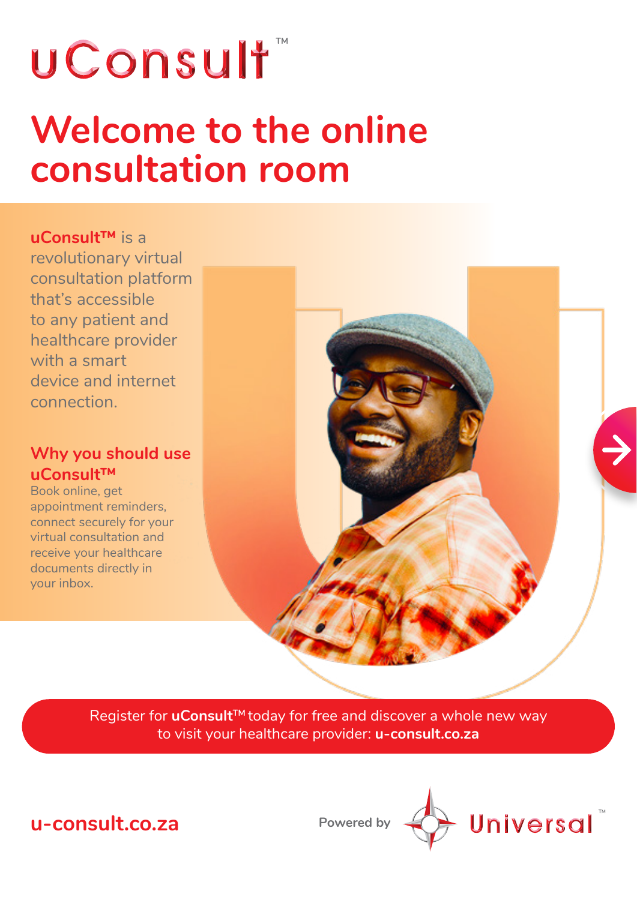## wConsult<sup>\*</sup>

### **Welcome to the online consultation room**

**uConsult™** is a revolutionary virtual consultation platform that's accessible to any patient and healthcare provider with a smart device and internet connection.

#### **Why you should use uConsult™**

Book online, get appointment reminders, connect securely for your virtual consultation and receive your healthcare documents directly in your inbox.



Register for **uConsult™** today for free and discover a whole new way to visit your healthcare provider: **u-consult.co.za**



**Powered by**

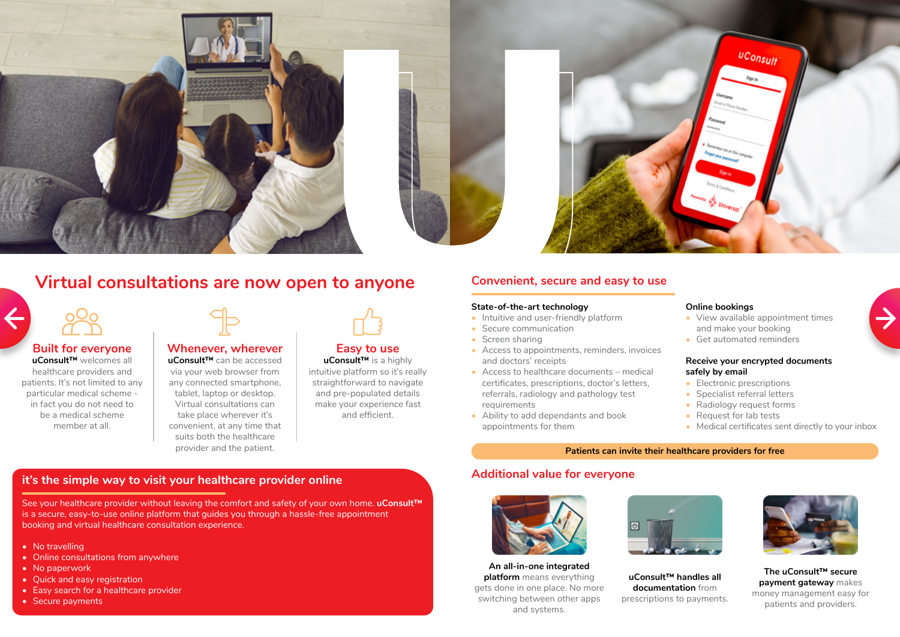





#### **Virtual consultations are now open to anyone**



#### **Built for everyone**

**uConsult™** welcomes all healthcare providers and patients. It's not limited to any particular medical scheme in fact you do not need to be a medical scheme member at all.



#### **Whenever, wherever**

**uConsult™** can be accessed via your web browser from any connected smartphone, tablet, laptop or desktop. Virtual consultations can take place wherever it's convenient, at any time that suits both the healthcare provider and the patient.



#### **Easy to use**

**uConsult™** is a highly intuitive platform so it's really straightforward to navigate and pre-populated details make your experience fast and efficient.

#### **it's the simple way to visit your healthcare provider online**

- Intuitive and user-friendly platform
- Secure communication
- Screen sharing
- Access to appointments, reminders, invoices and doctors' receipts
- Access to healthcare documents medical certificates, prescriptions, doctor's letters, referrals, radiology and pathology test requirements
- Ability to add dependants and book appointments for them
- Electronic prescriptions
- Specialist referral letters
- Radiology request forms
- Request for lab tests
- Medical certificates sent directly to your inbox





See your healthcare provider without leaving the comfort and safety of your own home. **uConsult™** is a secure, easy-to-use online platform that guides you through a hassle-free appointment booking and virtual healthcare consultation experience.

- No travelling
- Online consultations from anywhere
- No paperwork
- Quick and easy registration
- Easy search for a healthcare provider
- Secure payments

#### **Convenient, secure and easy to use**

#### **State-of-the-art technology**

#### **Online bookings**

- View available appointment times and make your booking
- Get automated reminders

#### **Receive your encrypted documents safely by email**

#### **Additional value for everyone**





#### **An all-in-one integrated platform** means everything gets done in one place. No more switching between other apps and systems.

#### **uConsult™ handles all documentation** from prescriptions to payments.

**The uConsult™ secure payment gateway** makes money management easy for patients and providers.



#### **Patients can invite their healthcare providers for free**